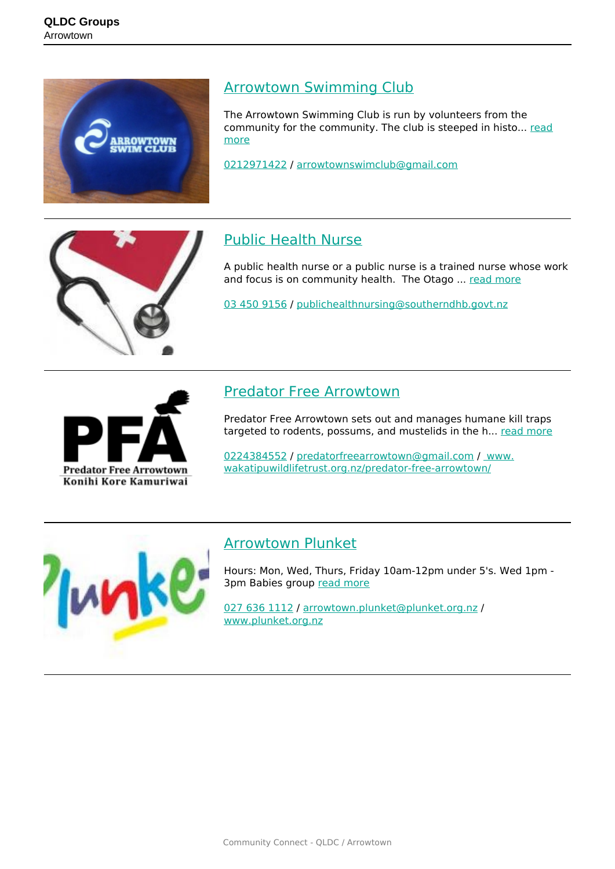

#### [Arrowtown Swimming Club](https://groups.qldc.govt.nz/groups/show/arrowtown-swimming-club/)

The Arrowtown Swimming Club is run by volunteers from the community for the community. The club is steeped in histo... [read](https://groups.qldc.govt.nz/groups/show/arrowtown-swimming-club/) [more](https://groups.qldc.govt.nz/groups/show/arrowtown-swimming-club/)

[0212971422](tel:0212971422) / [arrowtownswimclub@gmail.com](mailto:arrowtownswimclub@gmail.com)



## [Public Health Nurse](https://groups.qldc.govt.nz/groups/show/public-health-nurse/)

A public health nurse or a public nurse is a trained nurse whose work and focus is on community health. The Otago ... [read more](https://groups.qldc.govt.nz/groups/show/public-health-nurse/)

[03 450 9156](tel:034509156) / [publichealthnursing@southerndhb.govt.nz](mailto:publichealthnursing@southerndhb.govt.nz)



### [Predator Free Arrowtown](https://groups.qldc.govt.nz/groups/show/predator-free-arrowtown/)

Predator Free Arrowtown sets out and manages humane kill traps targeted to rodents, possums, and mustelids in the h... [read more](https://groups.qldc.govt.nz/groups/show/predator-free-arrowtown/)

[0224384552](tel:0224384552) / [predatorfreearrowtown@gmail.com](mailto:predatorfreearrowtown@gmail.com) / [www.]( https://www.wakatipuwildlifetrust.org.nz/predator-free-arrowtown/) [wakatipuwildlifetrust.org.nz/predator-free-arrowtown/]( https://www.wakatipuwildlifetrust.org.nz/predator-free-arrowtown/)



#### [Arrowtown Plunket](https://groups.qldc.govt.nz/groups/show/arrowtown-plunket/)

Hours: Mon, Wed, Thurs, Friday 10am-12pm under 5's. Wed 1pm - 3pm Babies group [read more](https://groups.qldc.govt.nz/groups/show/arrowtown-plunket/)

[027 636 1112](tel:0276361112) / [arrowtown.plunket@plunket.org.nz](mailto:arrowtown.plunket@plunket.org.nz) / [www.plunket.org.nz](http://www.plunket.org.nz)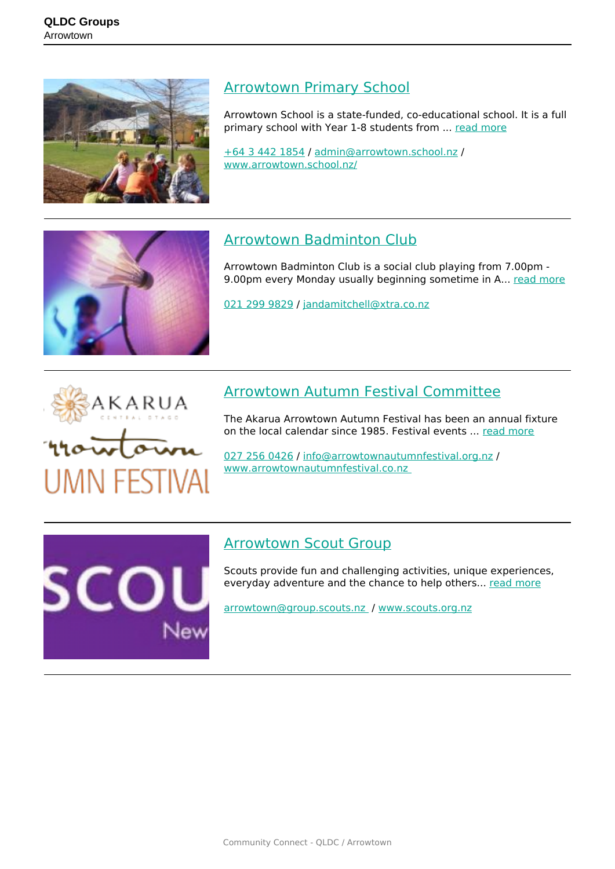

### [Arrowtown Primary School](https://groups.qldc.govt.nz/groups/show/arrowtown-primary-school/)

Arrowtown School is a state-funded, co-educational school. It is a full primary school with Year 1-8 students from ... [read more](https://groups.qldc.govt.nz/groups/show/arrowtown-primary-school/)

[+64 3 442 1854](tel:+6434421854) / [admin@arrowtown.school.nz](mailto:admin@arrowtown.school.nz) / [www.arrowtown.school.nz/](http://www.arrowtown.school.nz/)



## [Arrowtown Badminton Club](https://groups.qldc.govt.nz/groups/show/arrowtown-badminton-club/)

Arrowtown Badminton Club is a social club playing from 7.00pm 9.00pm every Monday usually beginning sometime in A... [read more](https://groups.qldc.govt.nz/groups/show/arrowtown-badminton-club/)

[021 299 9829](tel:0212999829) / [jandamitchell@xtra.co.nz](mailto:jandamitchell@xtra.co.nz)



SCO

## [Arrowtown Autumn Festival Committee](https://groups.qldc.govt.nz/groups/show/arrowtown-autumn-festival-committee/)

The Akarua Arrowtown Autumn Festival has been an annual fixture on the local calendar since 1985. Festival events ... [read more](https://groups.qldc.govt.nz/groups/show/arrowtown-autumn-festival-committee/)

[027 256 0426](tel:0272560426) / [info@arrowtownautumnfestival.org.nz](mailto:info@arrowtownautumnfestival.org.nz) / [www.arrowtownautumnfestival.co.nz](http://www.arrowtownautumnfestival.co.nz ) 

## [Arrowtown Scout Group](https://groups.qldc.govt.nz/groups/show/arrowtown-scout-group-0/)

Scouts provide fun and challenging activities, unique experiences, everyday adventure and the chance to help others... [read more](https://groups.qldc.govt.nz/groups/show/arrowtown-scout-group-0/)

[arrowtown@group.scouts.nz](mailto:arrowtown@group.scouts.nz ) / [www.scouts.org.nz](http://www.scouts.org.nz)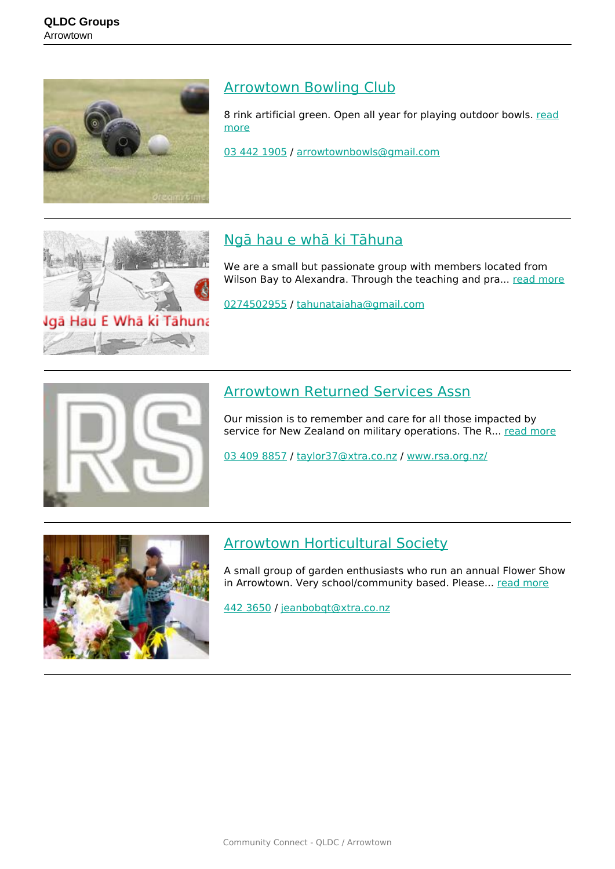

#### [Arrowtown Bowling Club](https://groups.qldc.govt.nz/groups/show/arrowtown-bowling-club/)

8 rink artificial green. Open all year for playing outdoor bowls. [read](https://groups.qldc.govt.nz/groups/show/arrowtown-bowling-club/) [more](https://groups.qldc.govt.nz/groups/show/arrowtown-bowling-club/)

[03 442 1905](tel:034421905) / [arrowtownbowls@gmail.com](mailto:arrowtownbowls@gmail.com)



## [Ngā hau e whā ki Tāhuna](https://groups.qldc.govt.nz/groups/show/nga-hau-e-wha-ki-tahuna/)

We are a small but passionate group with members located from Wilson Bay to Alexandra. Through the teaching and pra... [read more](https://groups.qldc.govt.nz/groups/show/nga-hau-e-wha-ki-tahuna/)

[0274502955](tel:0274502955) / [tahunataiaha@gmail.com](mailto:tahunataiaha@gmail.com)



### [Arrowtown Returned Services Assn](https://groups.qldc.govt.nz/groups/show/arrowtown-returned-services-assn/)

Our mission is to remember and care for all those impacted by service for New Zealand on military operations. The R... [read more](https://groups.qldc.govt.nz/groups/show/arrowtown-returned-services-assn/)

[03 409 8857](tel:034098857) / [taylor37@xtra.co.nz](mailto:taylor37@xtra.co.nz) / [www.rsa.org.nz/](https://www.rsa.org.nz/)



#### [Arrowtown Horticultural Society](https://groups.qldc.govt.nz/groups/show/arrowtown-horticultural-society/)

A small group of garden enthusiasts who run an annual Flower Show in Arrowtown. Very school/community based. Please... [read more](https://groups.qldc.govt.nz/groups/show/arrowtown-horticultural-society/)

[442 3650](tel:4423650) / [jeanbobqt@xtra.co.nz](mailto:jeanbobqt@xtra.co.nz)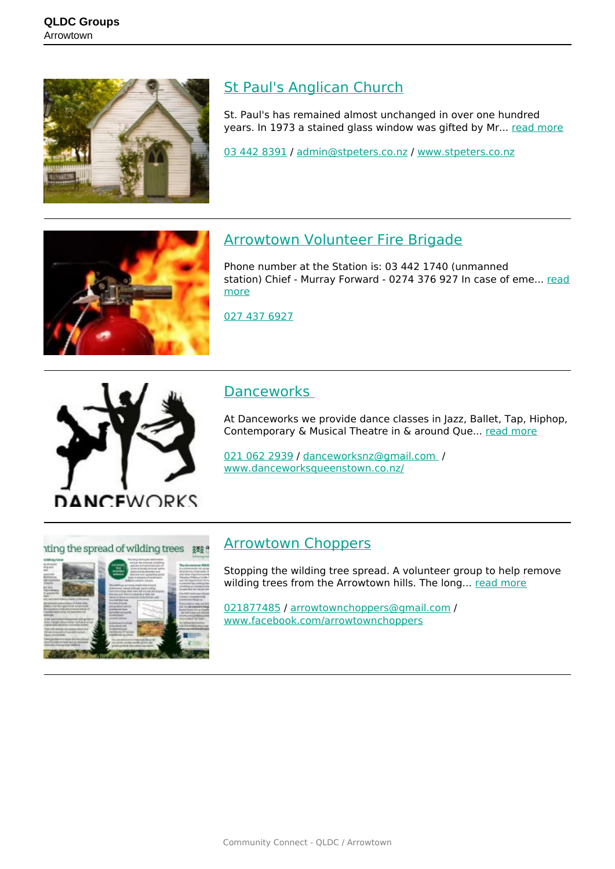

## [St Paul's Anglican Church](https://groups.qldc.govt.nz/groups/show/st-pauls-anglican-church/)

St. Paul's has remained almost unchanged in over one hundred years. In 1973 a stained glass window was gifted by Mr... [read more](https://groups.qldc.govt.nz/groups/show/st-pauls-anglican-church/)

[03 442 8391](tel:034428391) / [admin@stpeters.co.nz](mailto:admin@stpeters.co.nz) / [www.stpeters.co.nz](http://www.stpeters.co.nz)



### [Arrowtown Volunteer Fire Brigade](https://groups.qldc.govt.nz/groups/show/arrowtown-volunteer-fire-brigade/)

Phone number at the Station is: 03 442 1740 (unmanned station) Chief - Murray Forward - 0274 376 927 In case of eme... [read](https://groups.qldc.govt.nz/groups/show/arrowtown-volunteer-fire-brigade/) [more](https://groups.qldc.govt.nz/groups/show/arrowtown-volunteer-fire-brigade/)

[027 437 6927](tel:0274376927)



#### **Danceworks**

At Danceworks we provide dance classes in Jazz, Ballet, Tap, Hiphop, Contemporary & Musical Theatre in & around Que... [read more](https://groups.qldc.govt.nz/groups/show/danceworks/)

[021 062 2939](tel:0210622939) / [danceworksnz@gmail.com](mailto:danceworksnz@gmail.com ) / [www.danceworksqueenstown.co.nz/](http://www.danceworksqueenstown.co.nz/)

#### tting the spread of wilding trees 3%



#### [Arrowtown Choppers](https://groups.qldc.govt.nz/groups/show/arrowtown-choppers/)

Stopping the wilding tree spread. A volunteer group to help remove wilding trees from the Arrowtown hills. The long... [read more](https://groups.qldc.govt.nz/groups/show/arrowtown-choppers/)

[021877485](tel:021877485) / [arrowtownchoppers@gmail.com](mailto:arrowtownchoppers@gmail.com) / [www.facebook.com/arrowtownchoppers](https://www.facebook.com/arrowtownchoppers)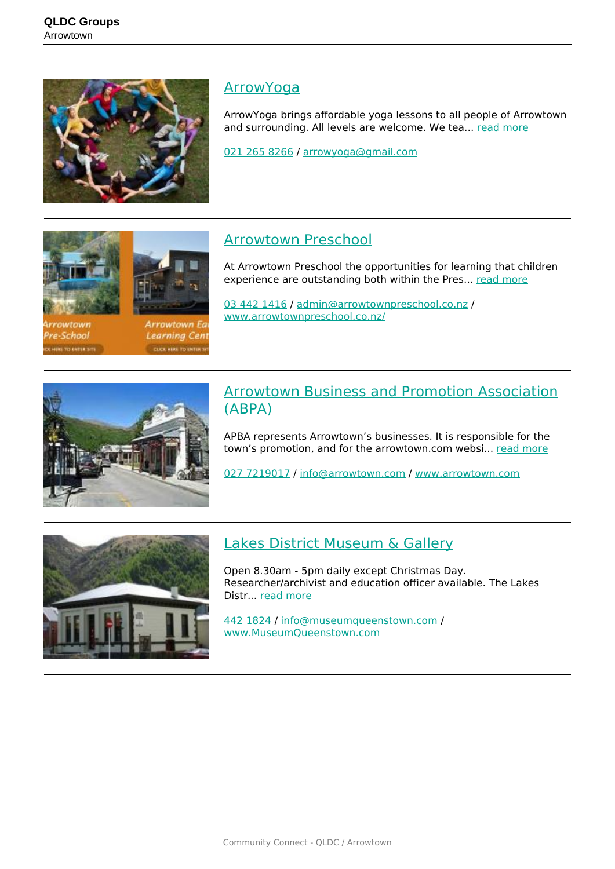School

TO ENTER UTI



#### **[ArrowYoga](https://groups.qldc.govt.nz/groups/show/arrowyoga/)**

ArrowYoga brings affordable yoga lessons to all people of Arrowtown and surrounding. All levels are welcome. We tea... [read more](https://groups.qldc.govt.nz/groups/show/arrowyoga/)

[021 265 8266](tel:0212658266) / [arrowyoga@gmail.com](mailto:arrowyoga@gmail.com)

## [Arrowtown Preschool](https://groups.qldc.govt.nz/groups/show/arrowtown-preschool/)

At Arrowtown Preschool the opportunities for learning that children experience are outstanding both within the Pres... [read more](https://groups.qldc.govt.nz/groups/show/arrowtown-preschool/)

[03 442 1416](tel:034421416) / [admin@arrowtownpreschool.co.nz](mailto:admin@arrowtownpreschool.co.nz) / [www.arrowtownpreschool.co.nz/](http://www.arrowtownpreschool.co.nz/)



Arrowtown Ed

Learning Cen

**CUCK MERE TO CATER 1** 

#### [Arrowtown Business and Promotion Association](https://groups.qldc.govt.nz/groups/show/arrowtown-business-and-promotion-association-abpa/) [\(ABPA\)](https://groups.qldc.govt.nz/groups/show/arrowtown-business-and-promotion-association-abpa/)

APBA represents Arrowtown's businesses. It is responsible for the town's promotion, and for the arrowtown.com websi... [read more](https://groups.qldc.govt.nz/groups/show/arrowtown-business-and-promotion-association-abpa/)

[027 7219017](tel:0277219017) / [info@arrowtown.com](mailto:info@arrowtown.com) / [www.arrowtown.com](http://www.arrowtown.com)



## [Lakes District Museum & Gallery](https://groups.qldc.govt.nz/groups/show/lakes-district-museum-and-gallery/)

Open 8.30am - 5pm daily except Christmas Day. Researcher/archivist and education officer available. The Lakes Distr... [read more](https://groups.qldc.govt.nz/groups/show/lakes-district-museum-and-gallery/)

[442 1824](tel:4421824) / [info@museumqueenstown.com](mailto:info@museumqueenstown.com) / [www.MuseumQueenstown.com](http://www.MuseumQueenstown.com)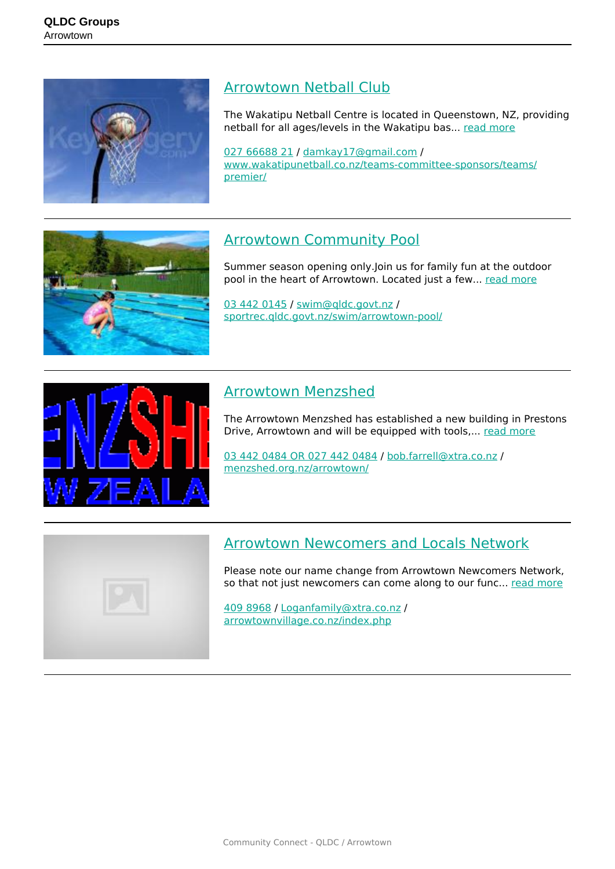

#### [Arrowtown Netball Club](https://groups.qldc.govt.nz/groups/show/arrowtown-netball-club/)

The Wakatipu Netball Centre is located in Queenstown, NZ, providing netball for all ages/levels in the Wakatipu bas... [read more](https://groups.qldc.govt.nz/groups/show/arrowtown-netball-club/)

[027 66688 21](tel:0276668821) / [damkay17@gmail.com](mailto:damkay17@gmail.com) / [www.wakatipunetball.co.nz/teams-committee-sponsors/teams/](http://www.wakatipunetball.co.nz/teams-committee-sponsors/teams/premier/) [premier/](http://www.wakatipunetball.co.nz/teams-committee-sponsors/teams/premier/)

# [Arrowtown Community Pool](https://groups.qldc.govt.nz/groups/show/arrowtown-community-pool/)

Summer season opening only.Join us for family fun at the outdoor pool in the heart of Arrowtown. Located just a few... [read more](https://groups.qldc.govt.nz/groups/show/arrowtown-community-pool/)

[03 442 0145](tel:034420145) / [swim@qldc.govt.nz](mailto:swim@qldc.govt.nz) / [sportrec.qldc.govt.nz/swim/arrowtown-pool/](https://sportrec.qldc.govt.nz/swim/arrowtown-pool/)



#### [Arrowtown Menzshed](https://groups.qldc.govt.nz/groups/show/arrowtown-menzshed/)

The Arrowtown Menzshed has established a new building in Prestons Drive, Arrowtown and will be equipped with tools,... [read more](https://groups.qldc.govt.nz/groups/show/arrowtown-menzshed/)

[03 442 0484 OR 027 442 0484](tel:0344204840274420484) / [bob.farrell@xtra.co.nz](mailto:bob.farrell@xtra.co.nz) / [menzshed.org.nz/arrowtown/](https://menzshed.org.nz/arrowtown/)



#### [Arrowtown Newcomers and Locals Network](https://groups.qldc.govt.nz/groups/show/arrowtown-newcomers-and-locals-network/)

Please note our name change from Arrowtown Newcomers Network, so that not just newcomers can come along to our func... [read more](https://groups.qldc.govt.nz/groups/show/arrowtown-newcomers-and-locals-network/)

[409 8968](tel:4098968) / [Loganfamily@xtra.co.nz](mailto:Loganfamily@xtra.co.nz) / [arrowtownvillage.co.nz/index.php](http://arrowtownvillage.co.nz/index.php?ti=29)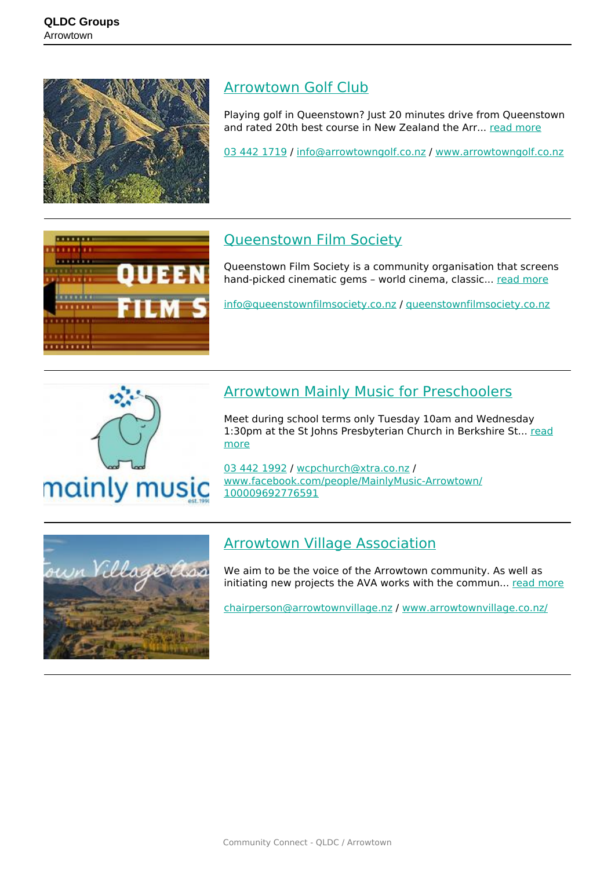

#### [Arrowtown Golf Club](https://groups.qldc.govt.nz/groups/show/arrowtown-golf-club/)

Playing golf in Queenstown? Just 20 minutes drive from Queenstown and rated 20th best course in New Zealand the Arr... [read more](https://groups.qldc.govt.nz/groups/show/arrowtown-golf-club/)

[03 442 1719](tel:034421719) / [info@arrowtowngolf.co.nz](mailto:info@arrowtowngolf.co.nz) / [www.arrowtowngolf.co.nz](http://www.arrowtowngolf.co.nz)



## [Queenstown Film Society](https://groups.qldc.govt.nz/groups/show/queenstown-film-society/)

Queenstown Film Society is a community organisation that screens hand-picked cinematic gems - world cinema, classic... [read more](https://groups.qldc.govt.nz/groups/show/queenstown-film-society/)

[info@queenstownfilmsociety.co.nz](mailto:info@queenstownfilmsociety.co.nz) / [queenstownfilmsociety.co.nz](http://queenstownfilmsociety.co.nz)



## [Arrowtown Mainly Music for Preschoolers](https://groups.qldc.govt.nz/groups/show/arrowtown-mainly-music-for-preschoolers/)

Meet during school terms only Tuesday 10am and Wednesday 1:30pm at the St Johns Presbyterian Church in Berkshire St... [read](https://groups.qldc.govt.nz/groups/show/arrowtown-mainly-music-for-preschoolers/) [more](https://groups.qldc.govt.nz/groups/show/arrowtown-mainly-music-for-preschoolers/)

[03 442 1992](tel:034421992) / [wcpchurch@xtra.co.nz](mailto:wcpchurch@xtra.co.nz) / [www.facebook.com/people/MainlyMusic-Arrowtown/](https://www.facebook.com/people/MainlyMusic-Arrowtown/100009692776591) [100009692776591](https://www.facebook.com/people/MainlyMusic-Arrowtown/100009692776591)



## [Arrowtown Village Association](https://groups.qldc.govt.nz/groups/show/arrowtown-village-association/)

We aim to be the voice of the Arrowtown community. As well as initiating new projects the AVA works with the commun... [read more](https://groups.qldc.govt.nz/groups/show/arrowtown-village-association/)

[chairperson@arrowtownvillage.nz](mailto:chairperson@arrowtownvillage.nz) / [www.arrowtownvillage.co.nz/](http://www.arrowtownvillage.co.nz/)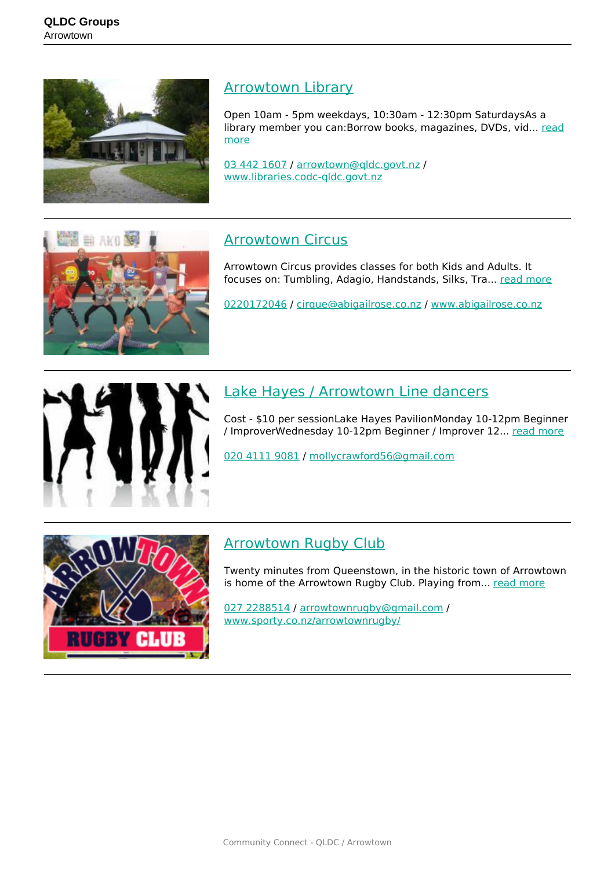

#### **[Arrowtown Library](https://groups.qldc.govt.nz/groups/show/arrowtown-library/)**

Open 10am - 5pm weekdays, 10:30am - 12:30pm SaturdaysAs a library member you can:Borrow books, magazines, DVDs, vid... [read](https://groups.qldc.govt.nz/groups/show/arrowtown-library/) [more](https://groups.qldc.govt.nz/groups/show/arrowtown-library/)

[03 442 1607](tel:034421607) / [arrowtown@qldc.govt.nz](mailto:arrowtown@qldc.govt.nz) / [www.libraries.codc-qldc.govt.nz](http://www.libraries.codc-qldc.govt.nz)



### [Arrowtown Circus](https://groups.qldc.govt.nz/groups/show/arrowtown-circus/)

Arrowtown Circus provides classes for both Kids and Adults. It focuses on: Tumbling, Adagio, Handstands, Silks, Tra... [read more](https://groups.qldc.govt.nz/groups/show/arrowtown-circus/)

[0220172046](tel:0220172046) / [cirque@abigailrose.co.nz](mailto:cirque@abigailrose.co.nz) / [www.abigailrose.co.nz](http://www.abigailrose.co.nz)



## [Lake Hayes / Arrowtown Line dancers](https://groups.qldc.govt.nz/groups/show/lake-hayes-arrowtown-line-dancers/)

Cost - \$10 per sessionLake Hayes PavilionMonday 10-12pm Beginner / ImproverWednesday 10-12pm Beginner / Improver 12... [read more](https://groups.qldc.govt.nz/groups/show/lake-hayes-arrowtown-line-dancers/)

[020 4111 9081](tel:02041119081) / [mollycrawford56@gmail.com](mailto:mollycrawford56@gmail.com)



#### [Arrowtown Rugby Club](https://groups.qldc.govt.nz/groups/show/arrowtown-rugby-club/)

Twenty minutes from Queenstown, in the historic town of Arrowtown is home of the Arrowtown Rugby Club. Playing from... [read more](https://groups.qldc.govt.nz/groups/show/arrowtown-rugby-club/)

[027 2288514](tel:0272288514) / [arrowtownrugby@gmail.com](mailto:arrowtownrugby@gmail.com) / [www.sporty.co.nz/arrowtownrugby/](https://www.sporty.co.nz/arrowtownrugby/)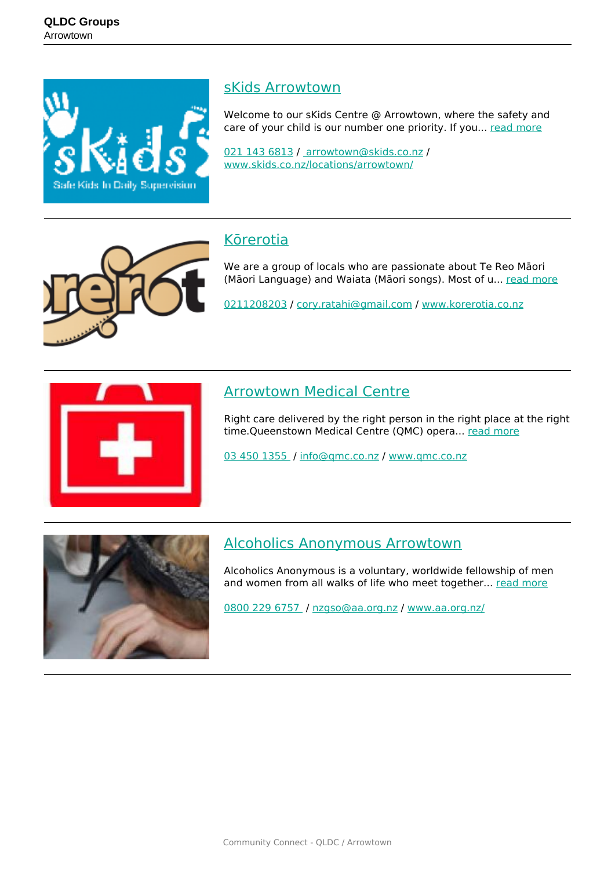

#### [sKids Arrowtown](https://groups.qldc.govt.nz/groups/show/skids-arrowtown/)

Welcome to our sKids Centre @ Arrowtown, where the safety and care of your child is our number one priority. If you... [read more](https://groups.qldc.govt.nz/groups/show/skids-arrowtown/)

[021 143 6813](tel:0211436813) / [arrowtown@skids.co.nz](mailto: arrowtown@skids.co.nz) / [www.skids.co.nz/locations/arrowtown/](https://www.skids.co.nz/locations/arrowtown/)



#### [Kōrerotia](https://groups.qldc.govt.nz/groups/show/korerotia/)

We are a group of locals who are passionate about Te Reo Māori (Māori Language) and Waiata (Māori songs). Most of u... [read more](https://groups.qldc.govt.nz/groups/show/korerotia/)

[0211208203](tel:0211208203) / [cory.ratahi@gmail.com](mailto:cory.ratahi@gmail.com) / [www.korerotia.co.nz](http://www.korerotia.co.nz)



#### [Arrowtown Medical Centre](https://groups.qldc.govt.nz/groups/show/arrowtown-medical-centre/)

Right care delivered by the right person in the right place at the right time.Queenstown Medical Centre (QMC) opera... [read more](https://groups.qldc.govt.nz/groups/show/arrowtown-medical-centre/)

[03 450 1355](tel:034501355) / [info@qmc.co.nz](mailto:info@qmc.co.nz) / [www.qmc.co.nz](http://www.qmc.co.nz)



#### [Alcoholics Anonymous Arrowtown](https://groups.qldc.govt.nz/groups/show/alcoholics-anonymous-arrowtown/)

Alcoholics Anonymous is a voluntary, worldwide fellowship of men and women from all walks of life who meet together... [read more](https://groups.qldc.govt.nz/groups/show/alcoholics-anonymous-arrowtown/)

[0800 229 6757](tel:08002296757) / [nzgso@aa.org.nz](mailto:nzgso@aa.org.nz) / [www.aa.org.nz/](https://www.aa.org.nz/)